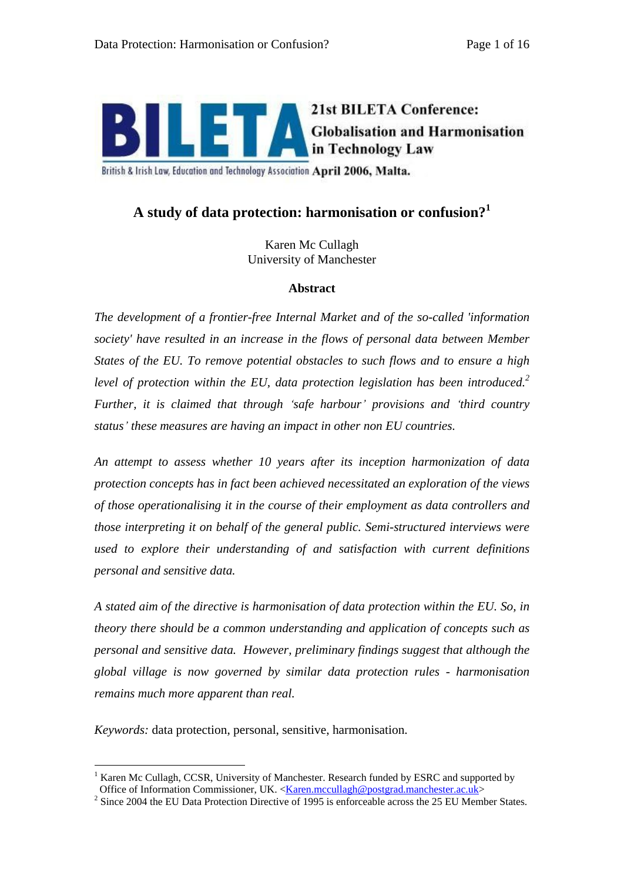

British & Irish Law, Education and Technology Association April 2006, Malta.

# **A study of data protection: harmonisation or confusion?1**

Karen Mc Cullagh University of Manchester

#### **Abstract**

*The development of a frontier-free Internal Market and of the so-called 'information society' have resulted in an increase in the flows of personal data between Member States of the EU. To remove potential obstacles to such flows and to ensure a high level of protection within the EU, data protection legislation has been introduced.<sup>2</sup> Further, it is claimed that through safe harbour provisions and third country status these measures are having an impact in other non EU countries.*

*An attempt to assess whether 10 years after its inception harmonization of data protection concepts has in fact been achieved necessitated an exploration of the views of those operationalising it in the course of their employment as data controllers and those interpreting it on behalf of the general public. Semi-structured interviews were used to explore their understanding of and satisfaction with current definitions personal and sensitive data.* 

*A stated aim of the directive is harmonisation of data protection within the EU. So, in theory there should be a common understanding and application of concepts such as personal and sensitive data. However, preliminary findings suggest that although the global village is now governed by similar data protection rules - harmonisation remains much more apparent than real.*

*Keywords:* data protection, personal, sensitive, harmonisation.

<sup>&</sup>lt;sup>1</sup> Karen Mc Cullagh, CCSR, University of Manchester. Research funded by ESRC and supported by Office of Information Commissioner, UK. <Karen.mccullagh@postgrad.manchester.ac.uk>

 $2$  Since 2004 the EU Data Protection Directive of 1995 is enforceable across the 25 EU Member States.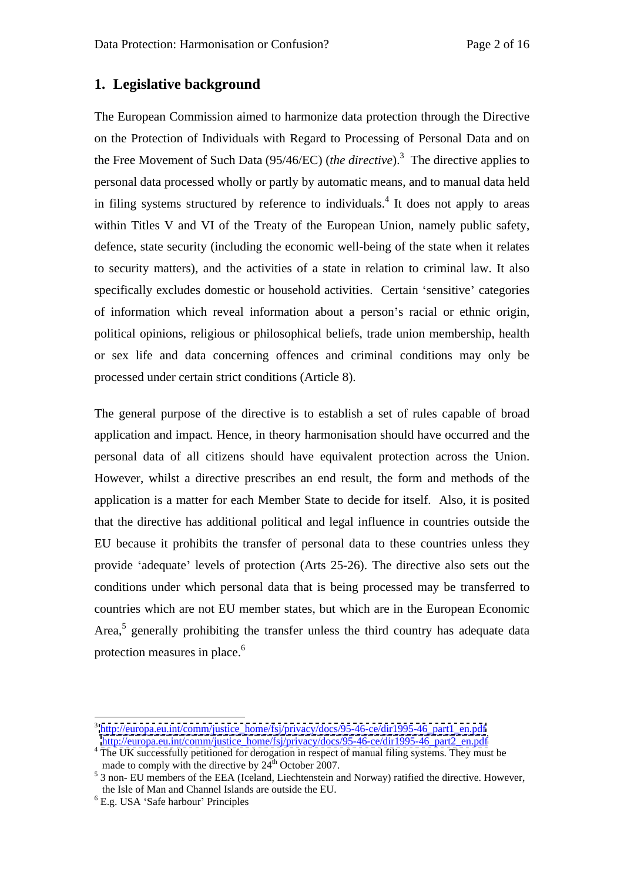### **1. Legislative background**

The European Commission aimed to harmonize data protection through the Directive on the Protection of Individuals with Regard to Processing of Personal Data and on the Free Movement of Such Data (95/46/EC) (*the directive*).<sup>3</sup> The directive applies to personal data processed wholly or partly by automatic means, and to manual data held in filing systems structured by reference to individuals.<sup>4</sup> It does not apply to areas It does not apply to areas within Titles V and VI of the Treaty of the European Union, namely public safety, defence, state security (including the economic well-being of the state when it relates to security matters), and the activities of a state in relation to criminal law. It also specifically excludes domestic or household activities. Certain 'sensitive' categories of information which reveal information about a person's racial or ethnic origin, political opinions, religious or philosophical beliefs, trade union membership, health or sex life and data concerning offences and criminal conditions may only be processed under certain strict conditions (Article 8).

The general purpose of the directive is to establish a set of rules capable of broad application and impact. Hence, in theory harmonisation should have occurred and the personal data of all citizens should have equivalent protection across the Union. However, whilst a directive prescribes an end result, the form and methods of the application is a matter for each Member State to decide for itself. Also, it is posited that the directive has additional political and legal influence in countries outside the EU because it prohibits the transfer of personal data to these countries unless they provide 'adequate' levels of protection (Arts 25-26). The directive also sets out the conditions under which personal data that is being processed may be transferred to countries which are not EU member states, but which are in the European Economic Area,<sup>5</sup> generally prohibiting the transfer unless the third country has adequate data protection measures in place. $6\degree$ 

<sup>&</sup>lt;sup>3</sup> [http://europa.eu.int/comm/justice\\_home/fsj/privacy/docs/95-46-ce/dir1995-46\\_part1\\_en.pdf](http://europa.eu.int/comm/justice_home/fsj/privacy/docs/95-46-ce/dir1995-46_part1_en.pdf)

[http://europa.eu.int/comm/justice\\_home/fsj/privacy/docs/95-46-ce/dir1995-46\\_part2\\_en.pdf](http://europa.eu.int/comm/justice_home/fsj/privacy/docs/95-46-ce/dir1995-46_part2_en.pdf)<br><sup>4</sup> The UK successfully petitioned for derogation in respect of manual filing systems. They must be made to comply with the directive by  $24^{th}$  October 2007.<br>
<sup>5</sup> 3 non- EU members of the EEA (Iceland, Liechtenstein and Norway) ratified the directive. However,

the Isle of Man and Channel Islands are outside the EU.<br><sup>6</sup> E.g. USA 'Safe harbour' Principles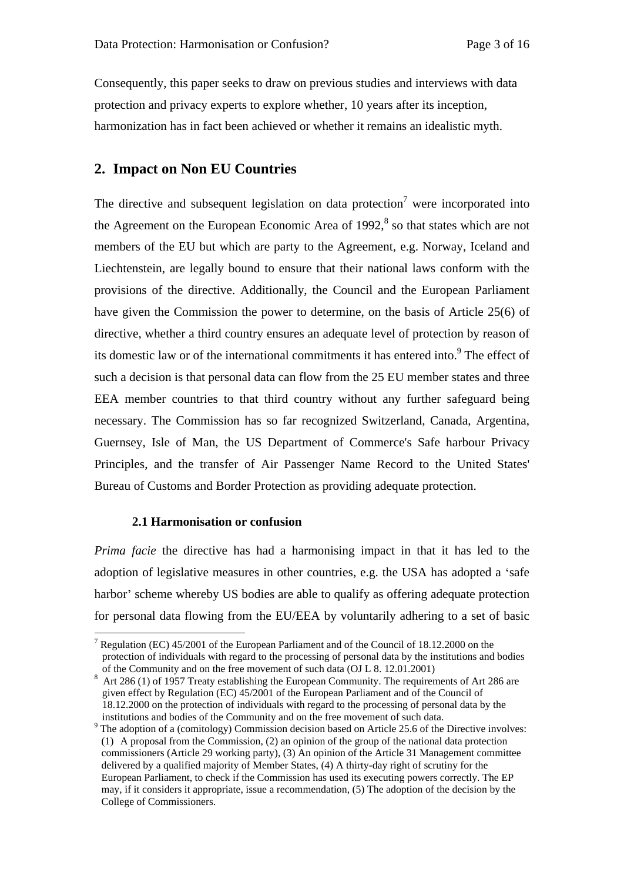Consequently, this paper seeks to draw on previous studies and interviews with data protection and privacy experts to explore whether, 10 years after its inception, harmonization has in fact been achieved or whether it remains an idealistic myth.

### **2. Impact on Non EU Countries**

The directive and subsequent legislation on data protection<sup>7</sup> were incorporated into were incorporated into the Agreement on the European Economic Area of 1992,<sup>8</sup> so that states which are not members of the EU but which are party to the Agreement, e.g. Norway, Iceland and Liechtenstein, are legally bound to ensure that their national laws conform with the provisions of the directive. Additionally, the Council and the European Parliament have given the Commission the power to determine, on the basis of Article 25(6) of directive, whether a third country ensures an adequate level of protection by reason of its domestic law or of the international commitments it has entered into.<sup>9</sup> The effect of such a decision is that personal data can flow from the 25 EU member states and three EEA member countries to that third country without any further safeguard being necessary. The Commission has so far recognized Switzerland, Canada, Argentina, Guernsey, Isle of Man, the US Department of Commerce's Safe harbour Privacy Principles, and the transfer of Air Passenger Name Record to the United States' Bureau of Customs and Border Protection as providing adequate protection.

#### **2.1 Harmonisation or confusion**

*Prima facie* the directive has had a harmonising impact in that it has led to the adoption of legislative measures in other countries, e.g. the USA has adopted a 'safe harbor' scheme whereby US bodies are able to qualify as offering adequate protection for personal data flowing from the EU/EEA by voluntarily adhering to a set of basic

<sup>&</sup>lt;sup>7</sup> Regulation (EC) 45/2001 of the European Parliament and of the Council of 18.12.2000 on the protection of individuals with regard to the processing of personal data by the institutions and bodies of the Community and on the free movement of such data (OJ L 8. 12.01.2001)<br><sup>8</sup> Art 286 (1) of 1957 Treaty establishing the European Community. The requirements of Art 286 are

given effect by Regulation (EC) 45/2001 of the European Parliament and of the Council of 18.12.2000 on the protection of individuals with regard to the processing of personal data by the institutions and bodies of the Community and on the free movement of such data.<br><sup>9</sup> The adoption of a (comitology) Commission decision based on Article 25.6 of the Directive involves:

<sup>(1)</sup> A proposal from the Commission, (2) an opinion of the group of the national data protection commissioners (Article 29 working party), (3) An opinion of the Article 31 Management committee delivered by a qualified majority of Member States, (4) A thirty-day right of scrutiny for the European Parliament, to check if the Commission has used its executing powers correctly. The EP may, if it considers it appropriate, issue a recommendation, (5) The adoption of the decision by the College of Commissioners.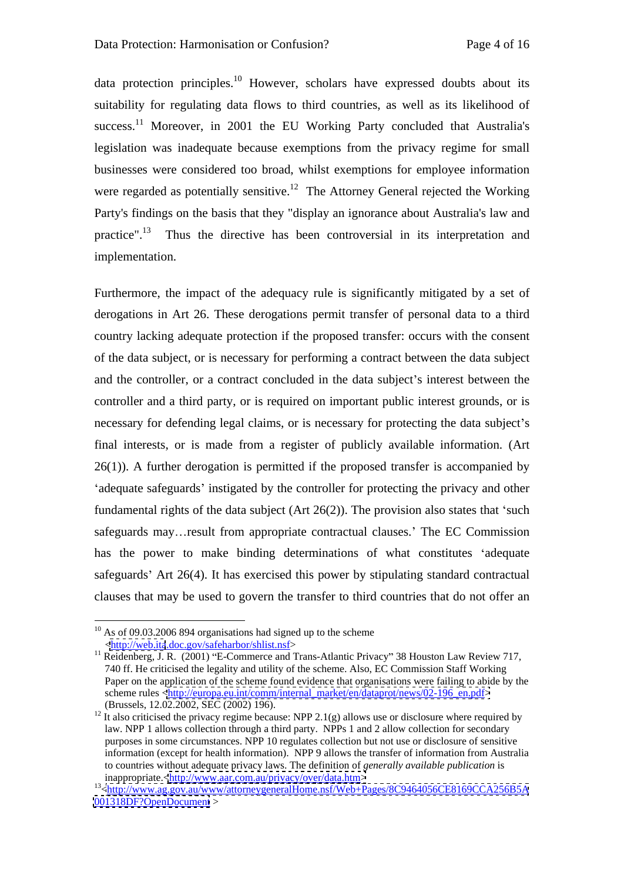data protection principles.<sup>10</sup> However, scholars have expressed doubts about its suitability for regulating data flows to third countries, as well as its likelihood of success.<sup>11</sup> Moreover, in 2001 the EU Working Party concluded that Australia's legislation was inadequate because exemptions from the privacy regime for small businesses were considered too broad, whilst exemptions for employee information were regarded as potentially sensitive.<sup>12</sup> The Attorney General rejected the Working Party's findings on the basis that they "display an ignorance about Australia's law and practice".<sup>13</sup> Thus the directive has been controversial in its interpretation and implementation.

Furthermore, the impact of the adequacy rule is significantly mitigated by a set of derogations in Art 26. These derogations permit transfer of personal data to a third country lacking adequate protection if the proposed transfer: occurs with the consent of the data subject, or is necessary for performing a contract between the data subject and the controller, or a contract concluded in the data subject's interest between the controller and a third party, or is required on important public interest grounds, or is necessary for defending legal claims, or is necessary for protecting the data subject's final interests, or is made from a register of publicly available information. (Art 26(1)). A further derogation is permitted if the proposed transfer is accompanied by 'adequate safeguards' instigated by the controller for protecting the privacy and other fundamental rights of the data subject (Art  $26(2)$ ). The provision also states that 'such safeguards may... result from appropriate contractual clauses.' The EC Commission has the power to make binding determinations of what constitutes 'adequate safeguards' Art  $26(4)$ . It has exercised this power by stipulating standard contractual clauses that may be used to govern the transfer to third countries that do not offer an

<sup>&</sup>lt;sup>10</sup> As of 09.03.2006 894 organisations had signed up to the scheme <br>  $\langle$ http://web.ita.doc.gov/safeharbor/shlist.nsf>

 $^{11}$  Reidenberg, J. R. (2001) "E-Commerce and Trans-Atlantic Privacy" 38 Houston Law Review 717, 740 ff. He criticised the legality and utility of the scheme. Also, EC Commission Staff Working Paper on the application of the scheme found evidence that organisations were failing to abide by the scheme rules [<http://europa.eu.int/comm/internal\\_market/en/dataprot/news/02-196\\_en.pdf>](http://europa.eu.int/comm/internal_market/en/dataprot/news/02-196_en.pdf>) (Brussels, 12.02.2002, SEC (2002) 196). <sup>12</sup> It also criticised the privacy regime because: NPP 2.1(g) allows use or disclosure where required by

law. NPP 1 allows collection through a third party. NPPs 1 and 2 allow collection for secondary purposes in some circumstances. NPP 10 regulates collection but not use or disclosure of sensitive information (except for health information). NPP 9 allows the transfer of information from Australia to countries without adequate privacy laws. The definition of *generally available publication* is

inappropriate.[<http://www.aar.com.au/privacy/over/data.htm>](http://www.aar.com.au/privacy/over/data.htm>)<br><sup>13</sup>[<http://www.ag.gov.au/www/attorneygeneralHome.nsf/Web+Pages/8C9464056CE8169CCA256B5A](http://www.ag.gov.au/www/attorneygeneralHome.nsf/Web+Pages/8C9464056CE8169CCA256B5A) <001318DF?OpenDocument> >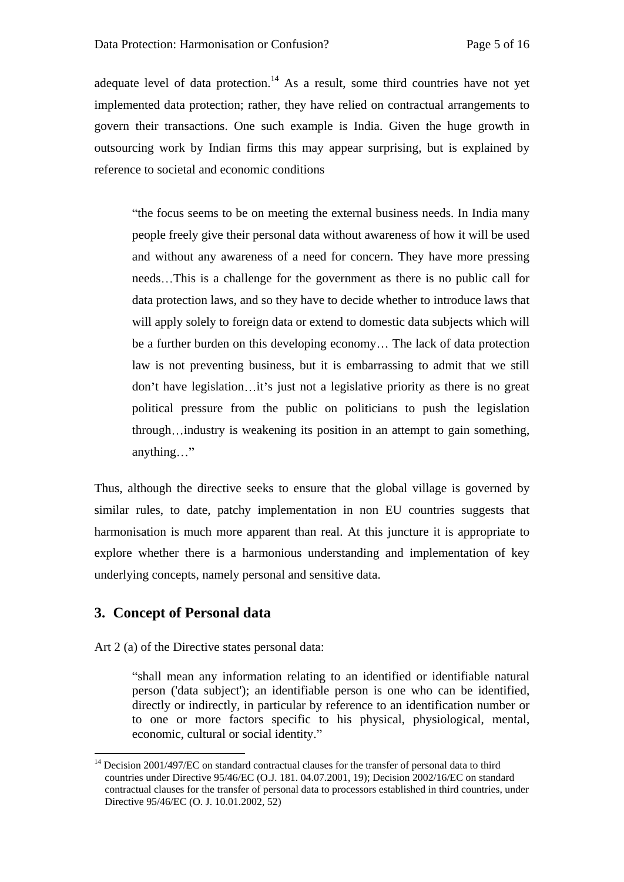adequate level of data protection.<sup>14</sup> As a result, some third countries have not yet implemented data protection; rather, they have relied on contractual arrangements to govern their transactions. One such example is India. Given the huge growth in outsourcing work by Indian firms this may appear surprising, but is explained by reference to societal and economic conditions

the focus seems to be on meeting the external business needs. In India many people freely give their personal data without awareness of how it will be used and without any awareness of a need for concern. They have more pressing needs...This is a challenge for the government as there is no public call for data protection laws, and so they have to decide whether to introduce laws that will apply solely to foreign data or extend to domestic data subjects which will be a further burden on this developing economy... The lack of data protection law is not preventing business, but it is embarrassing to admit that we still don't have legislation...it's just not a legislative priority as there is no great political pressure from the public on politicians to push the legislation through...industry is weakening its position in an attempt to gain something, anything..." The contract of the contract of the contract of the contract of the contract of the contract of the contract of the contract of the contract of the contract of the contract of the contract of the contract of t

Thus, although the directive seeks to ensure that the global village is governed by similar rules, to date, patchy implementation in non EU countries suggests that harmonisation is much more apparent than real. At this juncture it is appropriate to explore whether there is a harmonious understanding and implementation of key underlying concepts, namely personal and sensitive data.

## **3. Concept of Personal data**

Art 2 (a) of the Directive states personal data:

shall mean any information relating to an identified or identifiable natural person ('data subject'); an identifiable person is one who can be identified, directly or indirectly, in particular by reference to an identification number or to one or more factors specific to his physical, physiological, mental, economic, cultural or social identity.

<sup>&</sup>lt;sup>14</sup> Decision 2001/497/EC on standard contractual clauses for the transfer of personal data to third countries under Directive 95/46/EC (O.J. 181. 04.07.2001, 19); Decision 2002/16/EC on standard contractual clauses for the transfer of personal data to processors established in third countries, under Directive 95/46/EC (O. J. 10.01.2002, 52)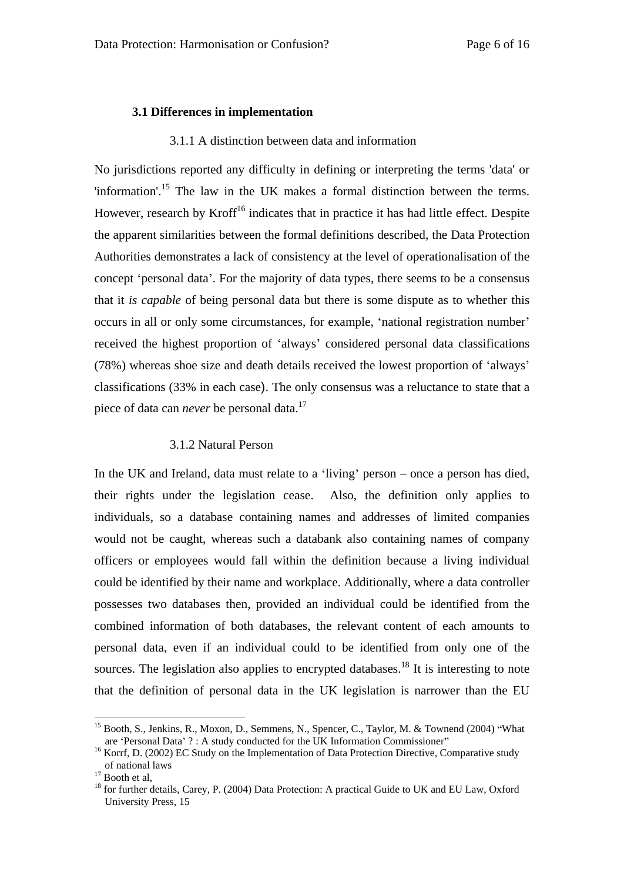#### **3.1 Differences in implementation**

#### 3.1.1 A distinction between data and information

No jurisdictions reported any difficulty in defining or interpreting the terms 'data' or 'information'.<sup>15</sup> The law in the UK makes a formal distinction between the terms. However, research by Kroff<sup>16</sup> indicates that in practice it has had little effect. Despite the apparent similarities between the formal definitions described, the Data Protection Authorities demonstrates a lack of consistency at the level of operationalisation of the concept 'personal data'. For the majority of data types, there seems to be a consensus that it *is capable* of being personal data but there is some dispute as to whether this occurs in all or only some circumstances, for example, 'national registration number' received the highest proportion of 'always' considered personal data classifications (78%) whereas shoe size and death details received the lowest proportion of 'always' classifications (33% in each case). The only consensus was a reluctance to state that a piece of data can *never* be personal data.17

### 3.1.2 Natural Person

In the UK and Ireland, data must relate to a 'living' person – once a person has died, their rights under the legislation cease. Also, the definition only applies to individuals, so a database containing names and addresses of limited companies would not be caught, whereas such a databank also containing names of company officers or employees would fall within the definition because a living individual could be identified by their name and workplace. Additionally, where a data controller possesses two databases then, provided an individual could be identified from the combined information of both databases, the relevant content of each amounts to personal data, even if an individual could to be identified from only one of the sources. The legislation also applies to encrypted databases.<sup>18</sup> It is interesting to note that the definition of personal data in the UK legislation is narrower than the EU

<sup>&</sup>lt;sup>15</sup> Booth, S., Jenkins, R., Moxon, D., Semmens, N., Spencer, C., Taylor, M. & Townend (2004) "What

are 'Personal Data' ? : A study conducted for the UK Information Commissioner"<br><sup>16</sup> Korrf, D. (2002) EC Study on the Implementation of Data Protection Directive, Comparative study<br>of national laws

<sup>&</sup>lt;sup>17</sup> Booth et al,<br><sup>18</sup> for further details, Carey, P. (2004) Data Protection: A practical Guide to UK and EU Law, Oxford University Press, 15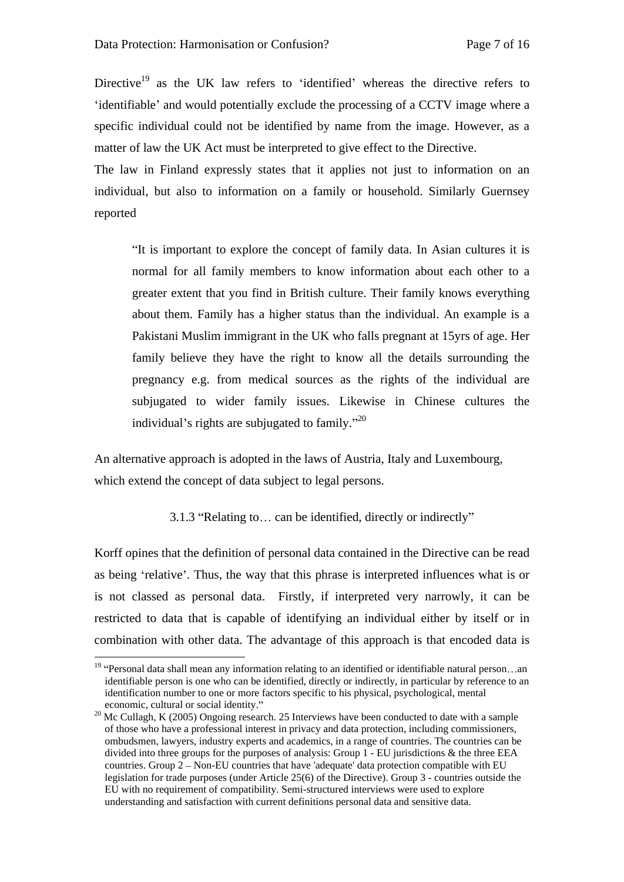Directive<sup>19</sup> as the UK law refers to 'identified' whereas the directive refers to identifiable and would potentially exclude the processing of a CCTV image where a specific individual could not be identified by name from the image. However, as a matter of law the UK Act must be interpreted to give effect to the Directive.

The law in Finland expressly states that it applies not just to information on an individual, but also to information on a family or household. Similarly Guernsey reported

It is important to explore the concept of family data. In Asian cultures it is normal for all family members to know information about each other to a greater extent that you find in British culture. Their family knows everything about them. Family has a higher status than the individual. An example is a Pakistani Muslim immigrant in the UK who falls pregnant at 15yrs of age. Her family believe they have the right to know all the details surrounding the pregnancy e.g. from medical sources as the rights of the individual are subjugated to wider family issues. Likewise in Chinese cultures the individual's rights are subjugated to family."<sup>20</sup>

An alternative approach is adopted in the laws of Austria, Italy and Luxembourg, which extend the concept of data subject to legal persons.

3.1.3 "Relating to... can be identified, directly or indirectly"

Korff opines that the definition of personal data contained in the Directive can be read as being 'relative'. Thus, the way that this phrase is interpreted influences what is or is not classed as personal data. Firstly, if interpreted very narrowly, it can be restricted to data that is capable of identifying an individual either by itself or in combination with other data. The advantage of this approach is that encoded data is

<sup>&</sup>lt;sup>19</sup> "Personal data shall mean any information relating to an identified or identifiable natural person...an identifiable person is one who can be identified, directly or indirectly, in particular by reference to an identification number to one or more factors specific to his physical, psychological, mental

economic, cultural or social identity."<br><sup>20</sup> Mc Cullagh, K (2005) Ongoing research. 25 Interviews have been conducted to date with a sample of those who have a professional interest in privacy and data protection, including commissioners, ombudsmen, lawyers, industry experts and academics, in a range of countries. The countries can be divided into three groups for the purposes of analysis: Group 1 - EU jurisdictions & the three EEA countries. Group  $2 -$  Non-EU countries that have 'adequate' data protection compatible with EU legislation for trade purposes (under Article 25(6) of the Directive). Group 3 - countries outside the EU with no requirement of compatibility. Semi-structured interviews were used to explore understanding and satisfaction with current definitions personal data and sensitive data.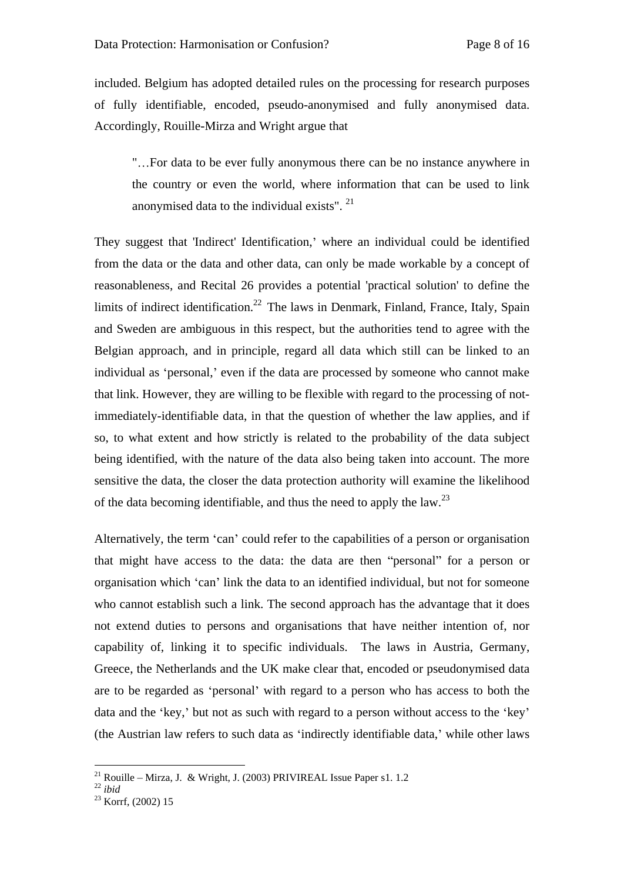included. Belgium has adopted detailed rules on the processing for research purposes of fully identifiable, encoded, pseudo-anonymised and fully anonymised data.<br>Accordingly, Rouille-Mirza and Wright argue that<br>" ...For data to be ever fully anonymous there can be no instance anywhere in

the country or even the world, where information that can be used to link anonymised data to the individual exists". 21

They suggest that 'Indirect' Identification,' where an individual could be identified from the data or the data and other data, can only be made workable by a concept of reasonableness, and Recital 26 provides a potential 'practical solution' to define the limits of indirect identification.<sup>22</sup> The laws in Denmark, Finland, France, Italy, Spain and Sweden are ambiguous in this respect, but the authorities tend to agree with the Belgian approach, and in principle, regard all data which still can be linked to an individual as 'personal,' even if the data are processed by someone who cannot make that link. However, they are willing to be flexible with regard to the processing of notimmediately-identifiable data, in that the question of whether the law applies, and if so, to what extent and how strictly is related to the probability of the data subject being identified, with the nature of the data also being taken into account. The more sensitive the data, the closer the data protection authority will examine the likelihood of the data becoming identifiable, and thus the need to apply the law.<sup>23</sup>

Alternatively, the term 'can' could refer to the capabilities of a person or organisation that might have access to the data: the data are then "personal" for a person or organisation which 'can' link the data to an identified individual, but not for someone who cannot establish such a link. The second approach has the advantage that it does not extend duties to persons and organisations that have neither intention of, nor capability of, linking it to specific individuals. The laws in Austria, Germany, Greece, the Netherlands and the UK make clear that, encoded or pseudonymised data are to be regarded as 'personal' with regard to a person who has access to both the data and the 'key,' but not as such with regard to a person without access to the 'key' (the Austrian law refers to such data as 'indirectly identifiable data,' while other laws

 $^{21}$  Rouille – Mirza, J. & Wright, J. (2003) PRIVIREAL Issue Paper s1. 1.2  $^{22}$   $i\hbar i\hbar j$ 

<sup>22</sup> *ibid* 23 Korrf, (2002) 15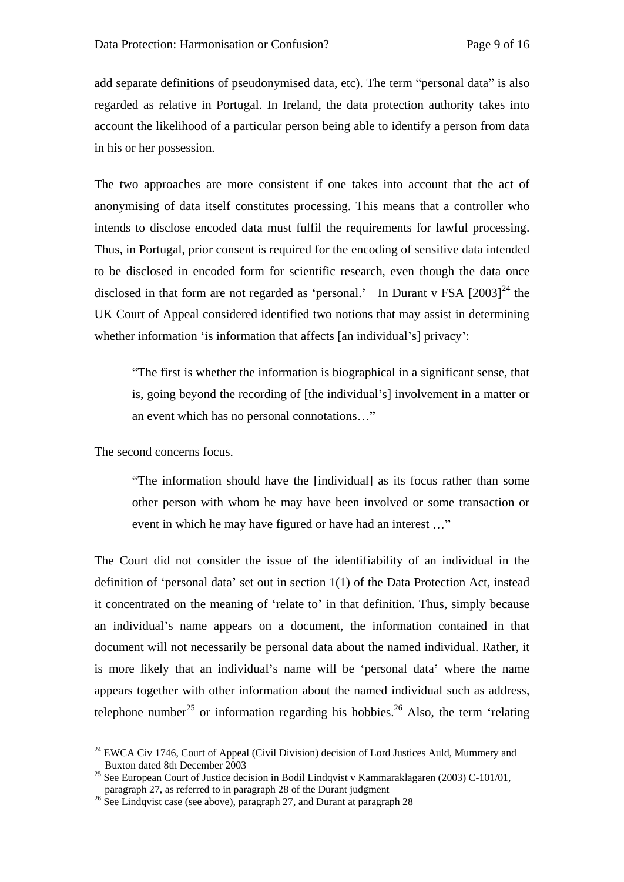add separate definitions of pseudonymised data, etc). The term "personal data" is also regarded as relative in Portugal. In Ireland, the data protection authority takes into account the likelihood of a particular person being able to identify a person from data in his or her possession.

The two approaches are more consistent if one takes into account that the act of anonymising of data itself constitutes processing. This means that a controller who intends to disclose encoded data must fulfil the requirements for lawful processing. Thus, in Portugal, prior consent is required for the encoding of sensitive data intended to be disclosed in encoded form for scientific research, even though the data once disclosed in that form are not regarded as 'personal.' In Durant v FSA  $[2003]^{24}$  the UK Court of Appeal considered identified two notions that may assist in determining whether information 'is information that affects [an individual's] privacy':

The first is whether the information is biographical in a significant sense, that is, going beyond the recording of [the individual's] involvement in a matter or an event which has no personal connotations..."

The second concerns focus.

The information should have the [individual] as itsfocus rather than some other person with whom he may have been involved or some transaction or event in which he may have figured or have had an interest ..."

The Court did not consider the issue of the identifiability of an individual in the definition of 'personal data' set out in section  $1(1)$  of the Data Protection Act, instead it concentrated on the meaning of 'relate to' in that definition. Thus, simply because an individual's name appears on a document, the information contained in that document will not necessarily be personal data about the named individual. Rather, it is more likely that an individual's name will be 'personal data' where the name appears together with other information about the named individual such as address, telephone number<sup>25</sup> or information regarding his hobbies.<sup>26</sup> Also, the term 'relating

<sup>&</sup>lt;sup>24</sup> EWCA Civ 1746, Court of Appeal (Civil Division) decision of Lord Justices Auld, Mummery and Buxton dated 8th December 2003 Buxton dated 8th December 2003

<sup>&</sup>lt;sup>25</sup> See European Court of Justice decision in Bodil Lindqvist v Kammaraklagaren (2003) C-101/01,

paragraph 27, as referred to in paragraph 28 of the Durant judgment <sup>26</sup> See Lindqvist case (see above), paragraph 27, and Durant at paragraph 28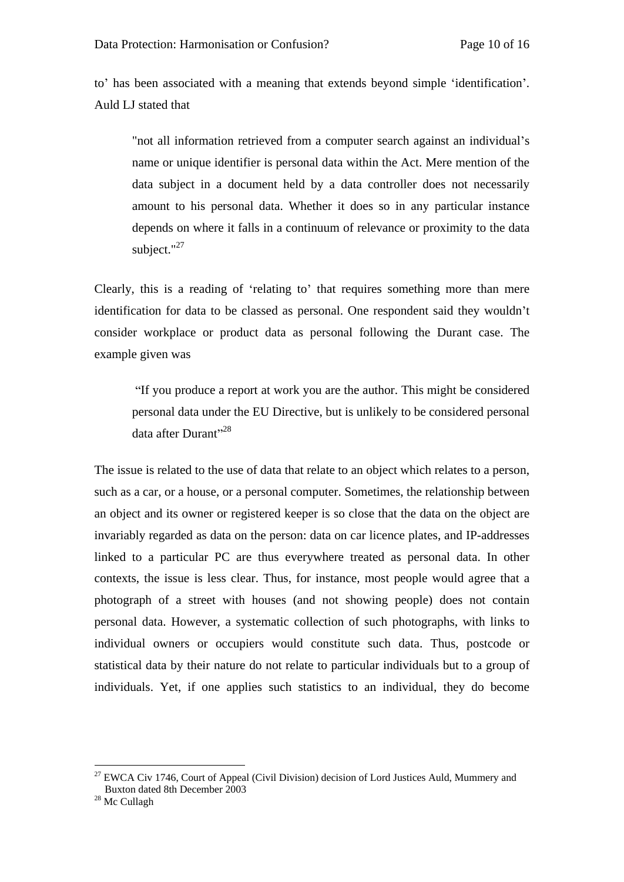to' has been associated with a meaning that extends beyond simple 'identification'. Auld LJ stated that<br>"not all information retrieved from a computer search against an individual's

name or unique identifier is personal data within the Act. Mere mention of the data subject in a document held by a data controller does not necessarily amount to his personal data. Whether it does so in any particular instance depends on where it falls in a continuum of relevance or proximity to the data subject." $^{27}$ 

Clearly, this is a reading of 'relating to' that requires something more than mere identification for data to be classed as personal. One respondent said they wouldn't consider workplace or product data as personal following the Durant case. The example given was

If you produce a report at work you are the author. This might be considered personal data under the EU Directive, but is unlikely to be considered personal data after  $Dur$ ant $^{28}$ 

The issue is related to the use of data that relate to an object which relates to a person, such as a car, or a house, or a personal computer. Sometimes, the relationship between an object and its owner or registered keeper is so close that the data on the object are invariably regarded as data on the person: data on car licence plates, and IP-addresses linked to a particular PC are thus everywhere treated as personal data. In other contexts, the issue is less clear. Thus, for instance, most people would agree that a photograph of a street with houses (and not showing people) does not contain personal data. However, a systematic collection of such photographs, with links to individual owners or occupiers would constitute such data. Thus, postcode or statistical data by their nature do not relate to particular individuals but to a group of individuals. Yet, if one applies such statistics to an individual, they do become

 $27$  EWCA Civ 1746, Court of Appeal (Civil Division) decision of Lord Justices Auld, Mummery and Buxton dated 8th December 2003

<sup>&</sup>lt;sup>28</sup> Mc Cullagh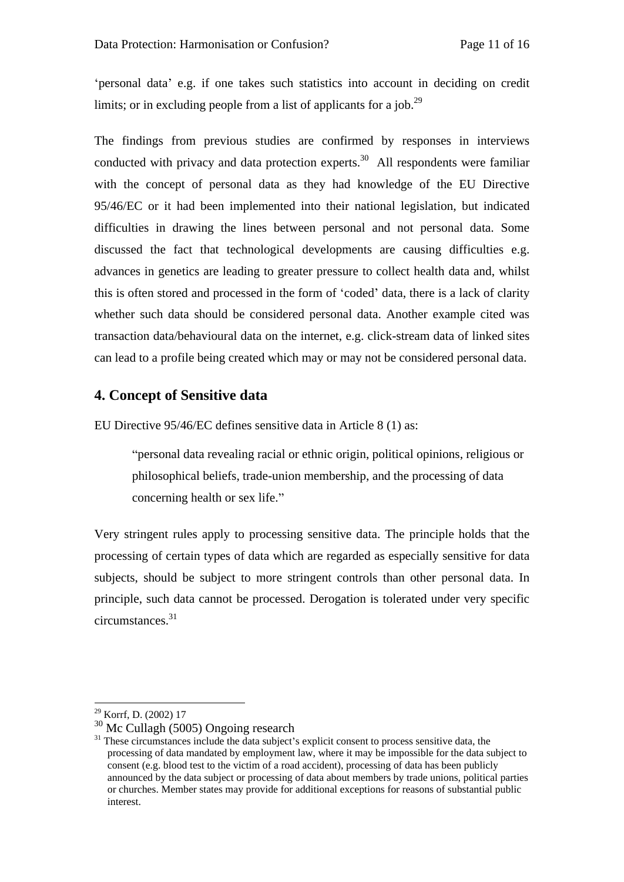personal data' e.g. if one takes such statistics into account in deciding on credit limits; or in excluding people from a list of applicants for a job.<sup>29</sup>

The findings from previous studies are confirmed by responses in interviews conducted with privacy and data protection experts.<sup>30</sup> All respondents were familiar with the concept of personal data as they had knowledge of the EU Directive 95/46/EC or it had been implemented into their national legislation, but indicated difficulties in drawing the lines between personal and not personal data. Some discussed the fact that technological developments are causing difficulties e.g. advances in genetics are leading to greater pressure to collect health data and, whilst this is often stored and processed in the form of 'coded' data, there is a lack of clarity whether such data should be considered personal data. Another example cited was transaction data/behavioural data on the internet, e.g. click-stream data of linked sites can lead to a profile being created which may or may not be considered personal data.

### **4. Concept of Sensitive data**

EU Directive 95/46/EC defines sensitive data in Article 8 (1) as:

personal data revealing racial or ethnic origin, political opinions, religious or philosophical beliefs, trade-union membership, and the processing of data concerning health or sex life.

Very stringent rules apply to processing sensitive data. The principle holds that the processing of certain types of data which are regarded as especially sensitive for data subjects, should be subject to more stringent controls than other personal data. In principle, such data cannot be processed. Derogation is tolerated under very specific  $circumstances.<sup>31</sup>$ 

 <sup>29</sup> Korrf, D. (2002) 17

 $30$  Mc Cullagh (5005) Ongoing research  $31$  These circumstances include the data subject's explicit consent to process sensitive data, the processing of data mandated by employment law, where it may be impossible for the data subject to consent (e.g. blood test to the victim of a road accident), processing of data has been publicly announced by the data subject or processing of data about members by trade unions, political parties or churches. Member states may provide for additional exceptions for reasons of substantial public interest.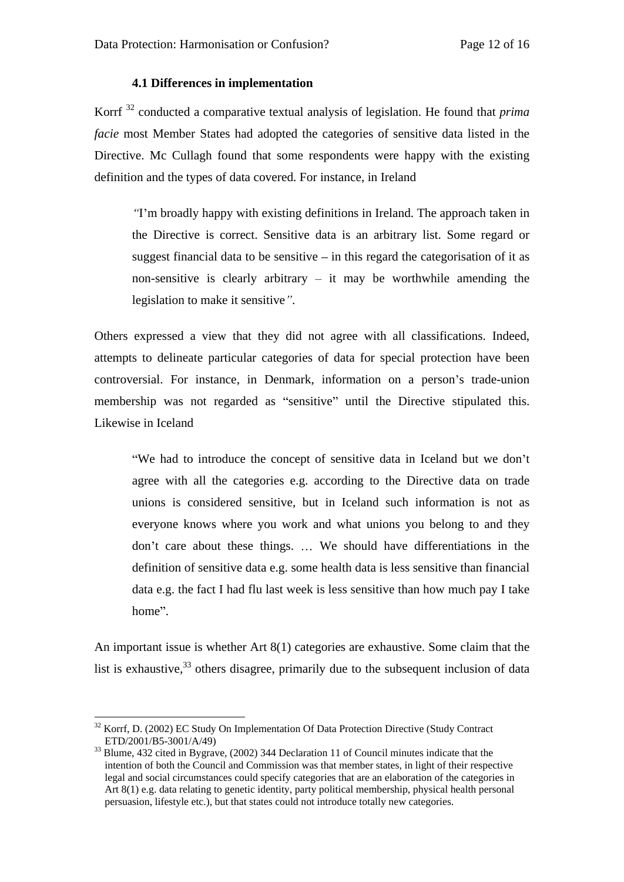### **4.1 Differences in implementation**

Korrf<sup>32</sup> conducted a comparative textual analysis of legislation. He found that *prima facie* most Member States had adopted the categories of sensitive data listed in the Directive. Mc Cullagh found that some respondents were happy with the existing definition and the types of data covered. For instance, in Ireland

I m broadly happy with existing definitions in Ireland. The approach taken in the Directive is correct. Sensitive data is an arbitrary list. Some regard or suggest financial data to be sensitive  $\overline{-}$  in this regard the categorisation of it as non-sensitive is clearly arbitrary  $-$  it may be worthwhile amending the legislation to make it sensitive".

Others expressed a view that they did not agree with all classifications. Indeed, attempts to delineate particular categories of data for special protection have been controversial. For instance, in Denmark, information on a person's trade-union membership was not regarded as "sensitive" until the Directive stipulated this. Likewise in Iceland

"We had to introduce the concept of sensitive data in Iceland but we don't agree with all the categories e.g. according to the Directive data on trade unions is considered sensitive, but in Iceland such information is not as everyone knows where you work and what unions you belong to and they don't care about these things. ... We should have differentiations in the definition of sensitive data e.g. some health data is less sensitive than financial data e.g. the fact I had flu last week is less sensitive than how much pay I take home".

An important issue is whether Art 8(1) categories are exhaustive. Some claim that the list is exhaustive,<sup>33</sup> others disagree, primarily due to the subsequent inclusion of data

<sup>&</sup>lt;sup>32</sup> Korrf, D. (2002) EC Study On Implementation Of Data Protection Directive (Study Contract  $ETD/2001/B5-3001/A/49$ )

 $33$  Blume, 432 cited in Bygrave, (2002) 344 Declaration 11 of Council minutes indicate that the intention of both the Council and Commission was that member states, in light of their respective legal and social circumstances could specify categories that are an elaboration of the categories in Art 8(1) e.g. data relating to genetic identity, party political membership, physical health personal persuasion, lifestyle etc.), but that states could not introduce totally new categories.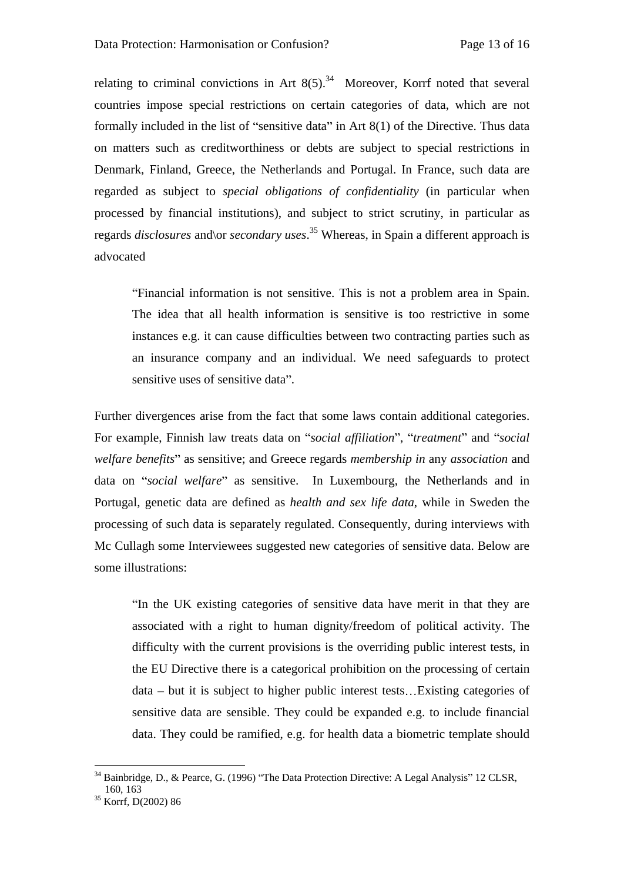relating to criminal convictions in Art  $8(5)$ .<sup>34</sup> Moreover, Korrf noted that several countries impose special restrictions on certain categories of data, which are not formally included in the list of "sensitive data" in Art  $8(1)$  of the Directive. Thus data on matters such as creditworthiness or debts are subject to special restrictions in Denmark, Finland, Greece, the Netherlands and Portugal. In France, such data are regarded as subject to *special obligations of confidentiality* (in particular when processed by financial institutions), and subject to strict scrutiny, in particular as regards *disclosures* and\or *secondary uses*.35 Whereas, in Spain a different approach is advocated

Financial information is not sensitive. This is not a problem area in Spain. The idea that all health information is sensitive is too restrictive in some instances e.g. it can cause difficulties between two contracting parties such as an insurance company and an individual. We need safeguards to protect sensitive uses of sensitive data".

Further divergences arise from the fact that some laws contain additional categories. For example, Finnish law treats data on "social affiliation", "treatment" and "social *welfare benefits*" as sensitive; and Greece regards *membership in* any *association* and data on "social welfare" as sensitive. In Luxembourg, the Netherlands and in Portugal, genetic data are defined as *health and sex life data*, while in Sweden the processing of such data is separately regulated. Consequently, during interviews with Mc Cullagh some Interviewees suggested new categories of sensitive data. Below are some illustrations:

"In the UK existing categories of sensitive data have merit in that they are associated with a right to human dignity/freedom of political activity. The difficulty with the current provisions is the overriding public interest tests, in the EU Directive there is a categorical prohibition on the processing of certain  $data - but it is subject to higher public interest tests... Existing categories of$ sensitive data are sensible. They could be expanded e.g. to include financial data. They could be ramified, e.g. for health data a biometric template should

 $34$  Bainbridge, D., & Pearce, G. (1996) "The Data Protection Directive: A Legal Analysis" 12 CLSR, 160, 163 160, 163

<sup>35</sup> Korrf, D(2002) 86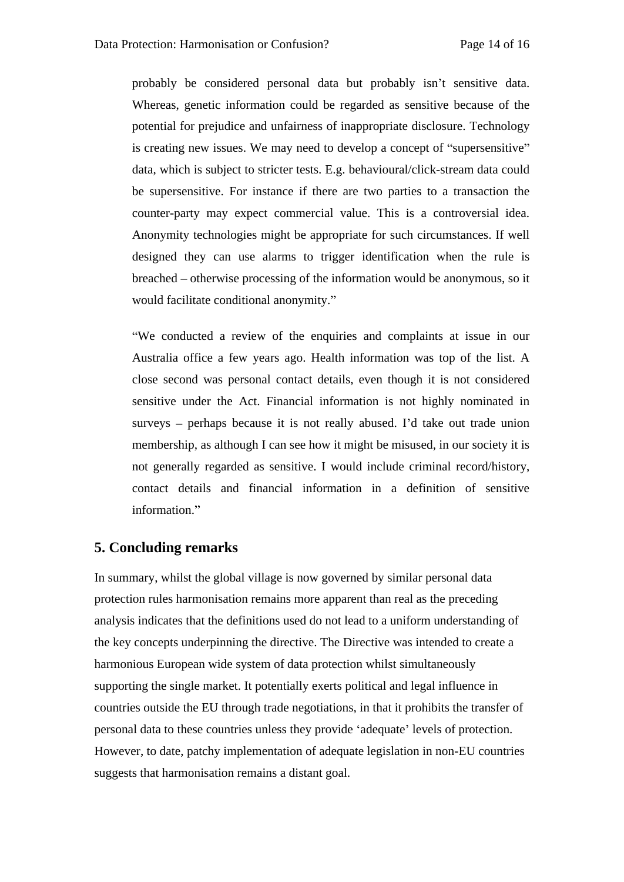probably be considered personal data but probably isn't sensitive data. Whereas, genetic information could be regarded as sensitive because of the potential for prejudice and unfairness of inappropriate disclosure. Technology is creating new issues. We may need to develop a concept of "supersensitive" data, which is subject to stricter tests. E.g. behavioural/click-stream data could be supersensitive. For instance if there are two parties to a transaction the counter-party may expect commercial value. This is a controversial idea. Anonymity technologies might be appropriate for such circumstances. If well designed they can use alarms to trigger identification when the rule is breached – otherwise processing of the information would be anonymous, so it

would facilitate conditional anonymity."<br>"We conducted a review of the enquiries and complaints at issue in our Australia office a few years ago. Health information was top of the list. A close second was personal contact details, even though it is not considered sensitive under the Act. Financial information is not highly nominated in surveys – perhaps because it is not really abused. I'd take out trade union membership, as although I can see how it might be misused, in our society it is not generally regarded as sensitive. I would include criminal record/history, contact details and financial information in a definition of sensitive information.

### **5. Concluding remarks**

In summary, whilst the global village is now governed by similar personal data protection rules harmonisation remains more apparent than real as the preceding analysis indicates that the definitions used do not lead to a uniform understanding of the key concepts underpinning the directive. The Directive was intended to create a harmonious European wide system of data protection whilst simultaneously supporting the single market. It potentially exerts political and legal influence in countries outside the EU through trade negotiations, in that it prohibits the transfer of personal data to these countries unless they provide 'adequate' levels of protection. However, to date, patchy implementation of adequate legislation in non-EU countries suggests that harmonisation remains a distant goal.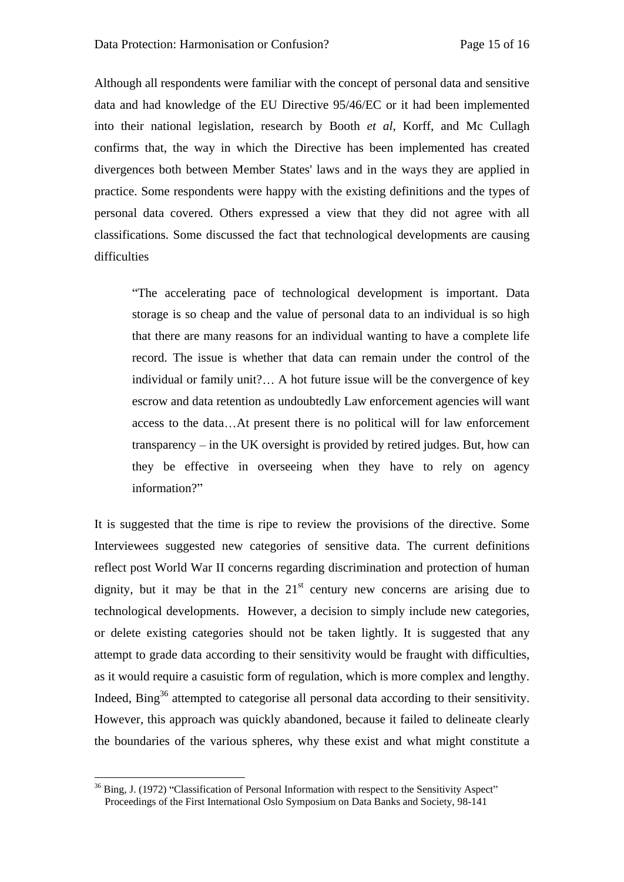Although all respondents were familiar with the concept of personal data and sensitive data and had knowledge of the EU Directive 95/46/EC or it had been implemented into their national legislation, research by Booth *et al*, Korff, and Mc Cullagh confirms that, the way in which the Directive has been implemented has created divergences both between Member States' laws and in the ways they are applied in practice. Some respondents were happy with the existing definitions and the types of personal data covered. Others expressed a view that they did not agree with all classifications. Some discussed the fact that technological developments are causing difficulties **difficulties** 

The accelerating pace of technological development is important. Data storage is so cheap and the value of personal data to an individual is so high that there are many reasons for an individual wanting to have a complete life record. The issue is whether that data can remain under the control of the individual or family unit?... A hot future issue will be the convergence of key escrow and data retention as undoubtedly Law enforcement agencies will want access to the data...At present there is no political will for law enforcement  $transparency - in the UK oversight is provided by retired judges. But, how can$ they be effective in overseeing when they have to rely on agency information?

It is suggested that the time is ripe to review the provisions of the directive. Some Interviewees suggested new categories of sensitive data. The current definitions reflect post World War II concerns regarding discrimination and protection of human dignity, but it may be that in the  $21^{st}$  century new concerns are arising due to technological developments. However, a decision to simply include new categories, or delete existing categories should not be taken lightly. It is suggested that any attempt to grade data according to their sensitivity would be fraught with difficulties, as it would require a casuistic form of regulation, which is more complex and lengthy. Indeed, Bing<sup>36</sup> attempted to categorise all personal data according to their sensitivity. However, this approach was quickly abandoned, because it failed to delineate clearly the boundaries of the various spheres, why these exist and what might constitute a

 $36$  Bing, J. (1972) "Classification of Personal Information with respect to the Sensitivity Aspect" Proceedings of the First International Oslo Symposium on Data Banks and Society, 98-141